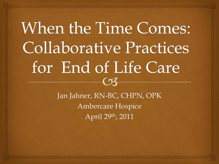### When the Time Comes: **Collaborative Practices** for End of Life Care  $\Omega$

Jan Jahner, RN-BC, CHPN, OPK Ambercare Hospice April 29th, 2011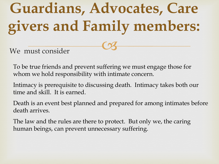# **Guardians, Advocates, Care givers and Family members:**

 $C<sub>3</sub>$ 

We must consider

To be true friends and prevent suffering we must engage those for whom we hold responsibility with intimate concern.

Intimacy is prerequisite to discussing death. Intimacy takes both our time and skill. It is earned.

Death is an event best planned and prepared for among intimates before death arrives.

The law and the rules are there to protect. But only we, the caring human beings, can prevent unnecessary suffering.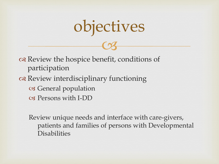## objectives

 $C<sub>3</sub>$ 

 Review the hospice benefit, conditions of participation or Review interdisciplinary functioning General population Persons with I-DD

Review unique needs and interface with care-givers, patients and families of persons with Developmental **Disabilities**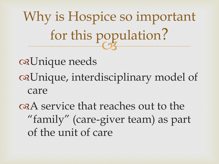$\frac{1}{3}$ Why is Hospice so important for this population?

Unique needs Unique, interdisciplinary model of care

A service that reaches out to the "family" (care-giver team) as part of the unit of care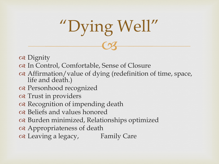

- os Dignity
- In Control, Comfortable, Sense of Closure
- Affirmation/value of dying (redefinition of time, space, life and death.)
- Personhood recognized
- Trust in providers
- or Recognition of impending death
- Beliefs and values honored
- Burden minimized, Relationships optimized
- Appropriateness of death
- Leaving a legacy, Family Care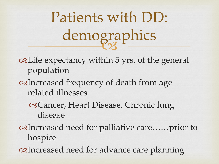**ERS** Patients with DD: demographics

Life expectancy within 5 yrs. of the general population

- Increased frequency of death from age related illnesses
	- Cancer, Heart Disease, Chronic lung disease
- Increased need for palliative care……prior to hospice
- Increased need for advance care planning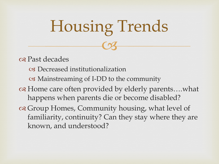# $C<sub>3</sub>$ Housing Trends

os Past decades

- Decreased institutionalization
- Mainstreaming of I-DD to the community
- Home care often provided by elderly parents….what happens when parents die or become disabled?
- Group Homes, Community housing, what level of familiarity, continuity? Can they stay where they are known, and understood?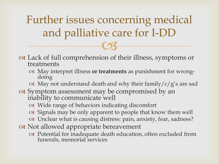$C<sub>3</sub>$ Further issues concerning medical and palliative care for I-DD

- Lack of full comprehension of their illness, symptoms or treatments
	- May interpret illness **or treatments** as punishment for wrongdoing
	- $\alpha$  May not understand death and why their family/c/g's are sad
- or Symptom assessment may be compromised by an inability to communicate well
	- Wide range of behaviors indicating discomfort
	- Signals may be only apparent to people that know them well
	- Unclear what is causing distress: pain, anxiety, fear, sadness?
- or Not allowed appropriate bereavement
	- Potential for inadequate death education, often excluded from funerals, memorial services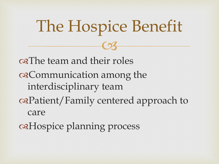$C<sub>3</sub>$ of The team and their roles Communication among the interdisciplinary team Patient/Family centered approach to care Hospice planning process

The Hospice Benefit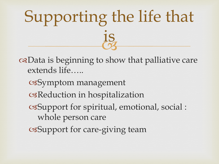#### $\frac{1}{3}$ Supporting the life that is

Data is beginning to show that palliative care extends life…..

Symptom management Reduction in hospitalization Support for spiritual, emotional, social : whole person care

Support for care-giving team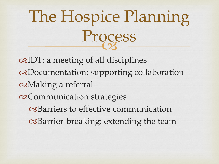#### $\frac{1}{3}$ The Hospice Planning Process

IDT: a meeting of all disciplines Documentation: supporting collaboration Making a referral Communication strategies Barriers to effective communication Barrier-breaking: extending the team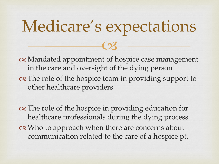# $C<sub>3</sub>$ Medicare's expectations

 Mandated appointment of hospice case management in the care and oversight of the dying person on The role of the hospice team in providing support to other healthcare providers

on The role of the hospice in providing education for healthcare professionals during the dying process or Who to approach when there are concerns about communication related to the care of a hospice pt.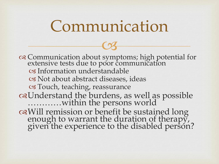#### Communication

 $C<sub>3</sub>$ 

 Communication about symptoms; high potential for extensive tests due to poor communication Information understandable Not about abstract diseases, ideas Touch, teaching, reassurance Understand the burdens, as well as possible …………within the persons world Will remission or benefit be sustained long enough to warrant the duration of therapy, given the experience to the disabled person?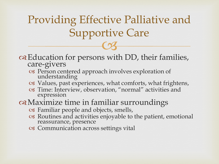$C<sub>3</sub>$ Providing Effective Palliative and Supportive Care

#### Education for persons with DD, their families, care-givers

- Person centered approach involves exploration of understanding
- Values, past experiences, what comforts, what frightens,
- Time: Interview, observation, "normal" activities and expression

#### Maximize time in familiar surroundings

- Familiar people and objects, smells,
- Routines and activities enjoyable to the patient, emotional reassurance, presence
- Communication across settings vital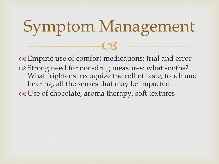## $C<sub>3</sub>$ Symptom Management

 Empiric use of comfort medications: trial and error of Strong need for non-drug measures: what sooths? What frightens: recognize the roll of taste, touch and hearing, all the senses that may be impacted Use of chocolate, aroma therapy, soft textures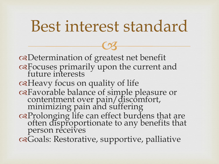### Best interest standard

 $C<sub>3</sub>$ 

Determination of greatest net benefit Focuses primarily upon the current and future interests Heavy focus on quality of life Favorable balance of simple pleasure or contentment over pain/discomfort, minimizing pain and suffering Prolonging life can effect burdens that are often disproportionate to any benefits that person receives Goals: Restorative, supportive, palliative